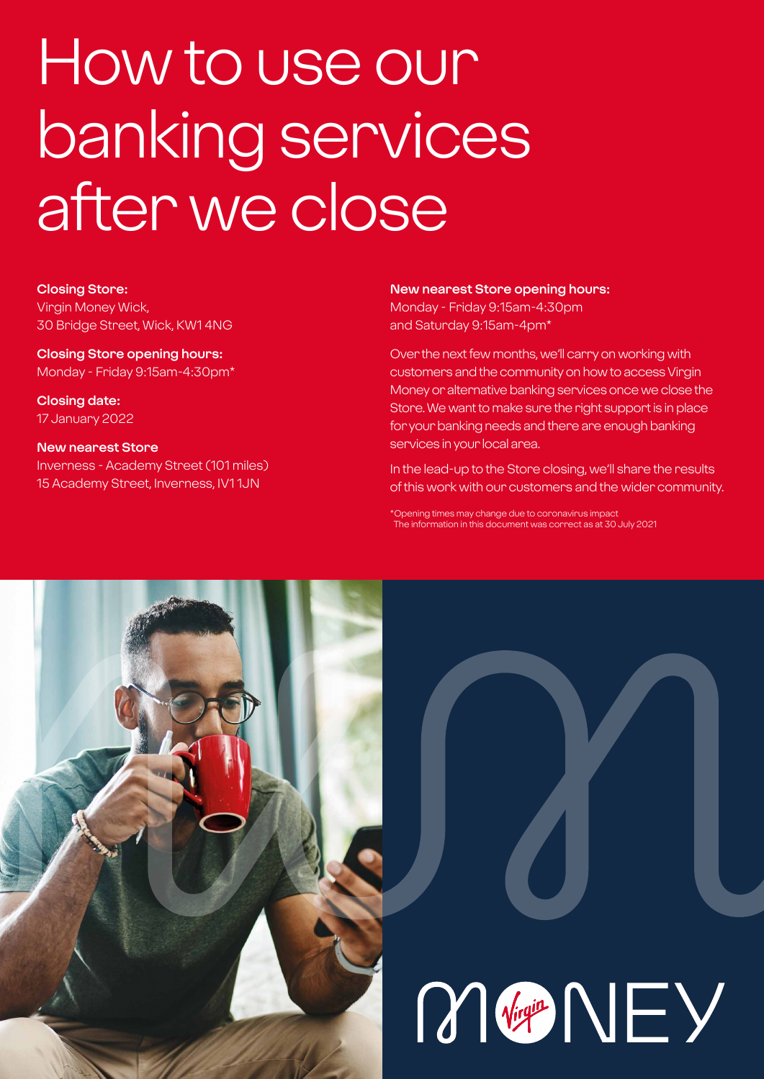# How to use our banking services after we close

**Closing Store:** Virgin Money Wick, 30 Bridge Street, Wick, KW1 4NG

**Closing Store opening hours:**  Monday - Friday 9:15am-4:30pm\*

**Closing date:**  17 January 2022

**New nearest Store** Inverness - Academy Street (101 miles) 15 Academy Street, Inverness, IV1 1JN

**New nearest Store opening hours:**

Monday - Friday 9:15am-4:30pm and Saturday 9:15am-4pm\*

Over the next few months, we'll carry on working with customers and the community on how to access Virgin Money or alternative banking services once we close the Store. We want to make sure the right support is in place for your banking needs and there are enough banking services in your local area.

In the lead-up to the Store closing, we'll share the results of this work with our customers and the wider community.

\*Opening times may change due to coronavirus impact The information in this document was correct as at 30 July 2021



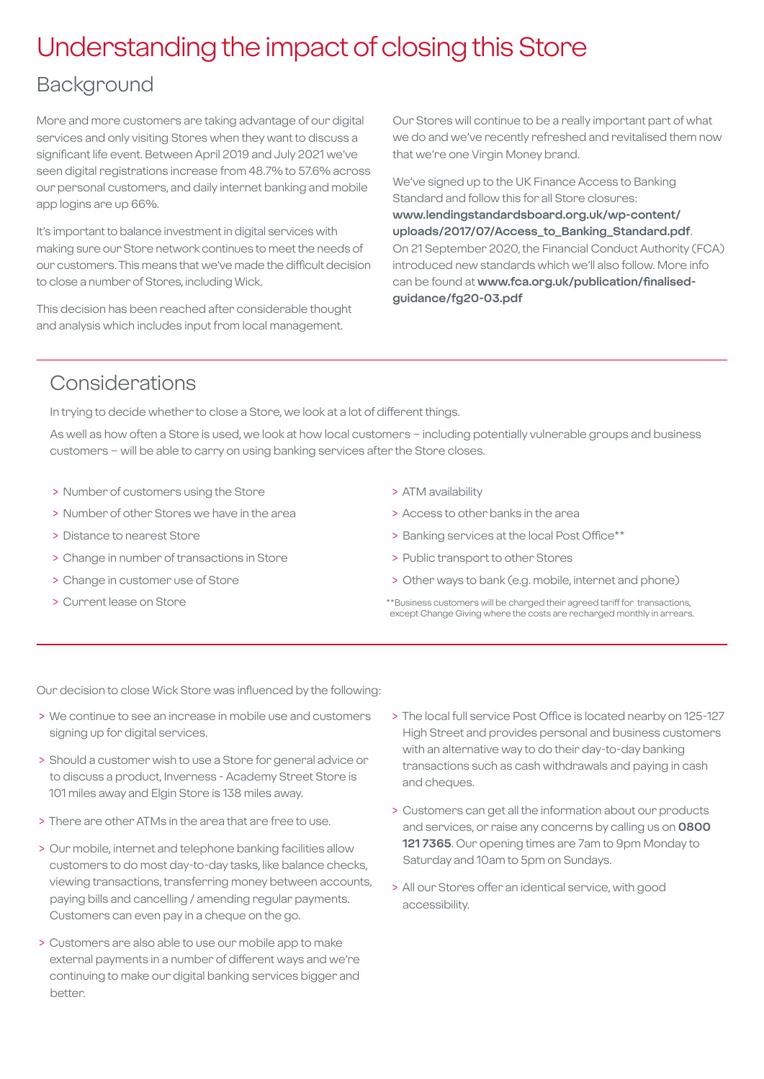### Understanding the impact of closing this Store

### Background

More and more customers are taking advantage of our digital services and only visiting Stores when they want to discuss a significant life event. Between April 2019 and July 2021 we've seen digital registrations increase from 48.7% to 57.6% across our personal customers, and daily internet banking and mobile app logins are up 66%.

It's important to balance investment in digital services with making sure our Store network continues to meet the needs of our customers. This means that we've made the difficult decision to close a number of Stores, including Wick.

This decision has been reached after considerable thought and analysis which includes input from local management.

Our Stores will continue to be a really important part of what we do and we've recently refreshed and revitalised them now that we're one Virgin Money brand.

We've signed up to the UK Finance Access to Banking Standard and follow this for all Store closures: **[www.lendingstandardsboard.org.uk/wp-content/](http://www.lendingstandardsboard.org.uk/wp-content/uploads/2017/07/Access_to_Banking_Standard.pdf) [uploads/2017/07/Access\\_to\\_Banking\\_Standard.pdf](http://www.lendingstandardsboard.org.uk/wp-content/uploads/2017/07/Access_to_Banking_Standard.pdf)**. On 21 September 2020, the Financial Conduct Authority (FCA) introduced new standards which we'll also follow. More info can be found at **[www.fca.org.uk/publication/finalised](http://www.fca.org.uk/publication/finalised-guidance/fg20-03.pdf)[guidance/fg20-03.pdf](http://www.fca.org.uk/publication/finalised-guidance/fg20-03.pdf)**

### Considerations

In trying to decide whether to close a Store, we look at a lot of different things.

As well as how often a Store is used, we look at how local customers – including potentially vulnerable groups and business customers – will be able to carry on using banking services after the Store closes.

- > Number of customers using the Store
- > Number of other Stores we have in the area
- > Distance to nearest Store
- > Change in number of transactions in Store
- > Change in customer use of Store
- > Current lease on Store
- > ATM availability
- > Access to other banks in the area
- > Banking services at the local Post Office\*\*
- > Public transport to other Stores
- > Other ways to bank (e.g. mobile, internet and phone)
- \*\*Business customers will be charged their agreed tariff for transactions, except Change Giving where the costs are recharged monthly in arrears.

Our decision to close Wick Store was influenced by the following:

- > We continue to see an increase in mobile use and customers signing up for digital services.
- > Should a customer wish to use a Store for general advice or to discuss a product, Inverness - Academy Street Store is 101 miles away and Elgin Store is 138 miles away.
- > There are other ATMs in the area that are free to use.
- > Our mobile, internet and telephone banking facilities allow customers to do most day-to-day tasks, like balance checks, viewing transactions, transferring money between accounts, paying bills and cancelling / amending regular payments. Customers can even pay in a cheque on the go.
- > Customers are also able to use our mobile app to make external payments in a number of different ways and we're continuing to make our digital banking services bigger and better.
- > The local full service Post Office is located nearby on 125-127 High Street and provides personal and business customers with an alternative way to do their day-to-day banking transactions such as cash withdrawals and paying in cash and cheques.
- > Customers can get all the information about our products and services, or raise any concerns by calling us on **0800 121 7365**. Our opening times are 7am to 9pm Monday to Saturday and 10am to 5pm on Sundays.
- > All our Stores offer an identical service, with good accessibility.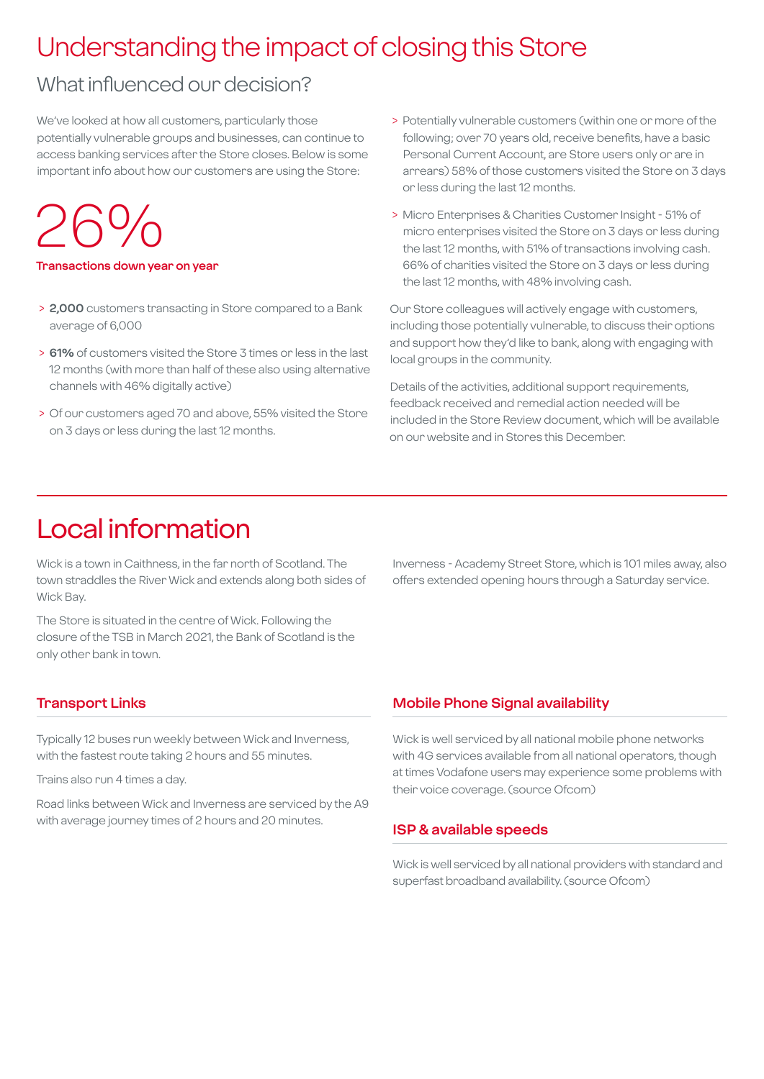### Understanding the impact of closing this Store

### What influenced our decision?

We've looked at how all customers, particularly those potentially vulnerable groups and businesses, can continue to access banking services after the Store closes. Below is some important info about how our customers are using the Store:

26%

**Transactions down year on year**

- > **2,000** customers transacting in Store compared to a Bank average of 6,000
- > **61%** of customers visited the Store 3 times or less in the last 12 months (with more than half of these also using alternative channels with 46% digitally active)
- > Of our customers aged 70 and above, 55% visited the Store on 3 days or less during the last 12 months.
- > Potentially vulnerable customers (within one or more of the following; over 70 years old, receive benefits, have a basic Personal Current Account, are Store users only or are in arrears) 58% of those customers visited the Store on 3 days or less during the last 12 months.
- > Micro Enterprises & Charities Customer Insight 51% of micro enterprises visited the Store on 3 days or less during the last 12 months, with 51% of transactions involving cash. 66% of charities visited the Store on 3 days or less during the last 12 months, with 48% involving cash.

Our Store colleagues will actively engage with customers, including those potentially vulnerable, to discuss their options and support how they'd like to bank, along with engaging with local groups in the community.

Details of the activities, additional support requirements, feedback received and remedial action needed will be included in the Store Review document, which will be available on our website and in Stores this December.

### Local information

Wick is a town in Caithness, in the far north of Scotland. The town straddles the River Wick and extends along both sides of Wick Bay.

The Store is situated in the centre of Wick. Following the closure of the TSB in March 2021, the Bank of Scotland is the only other bank in town.

### **Transport Links**

Typically 12 buses run weekly between Wick and Inverness, with the fastest route taking 2 hours and 55 minutes.

Trains also run 4 times a day.

Road links between Wick and Inverness are serviced by the A9 with average journey times of 2 hours and 20 minutes.

Inverness - Academy Street Store, which is 101 miles away, also offers extended opening hours through a Saturday service.

#### **Mobile Phone Signal availability**

Wick is well serviced by all national mobile phone networks with 4G services available from all national operators, though at times Vodafone users may experience some problems with their voice coverage. (source Ofcom)

#### **ISP & available speeds**

Wick is well serviced by all national providers with standard and superfast broadband availability. (source Ofcom)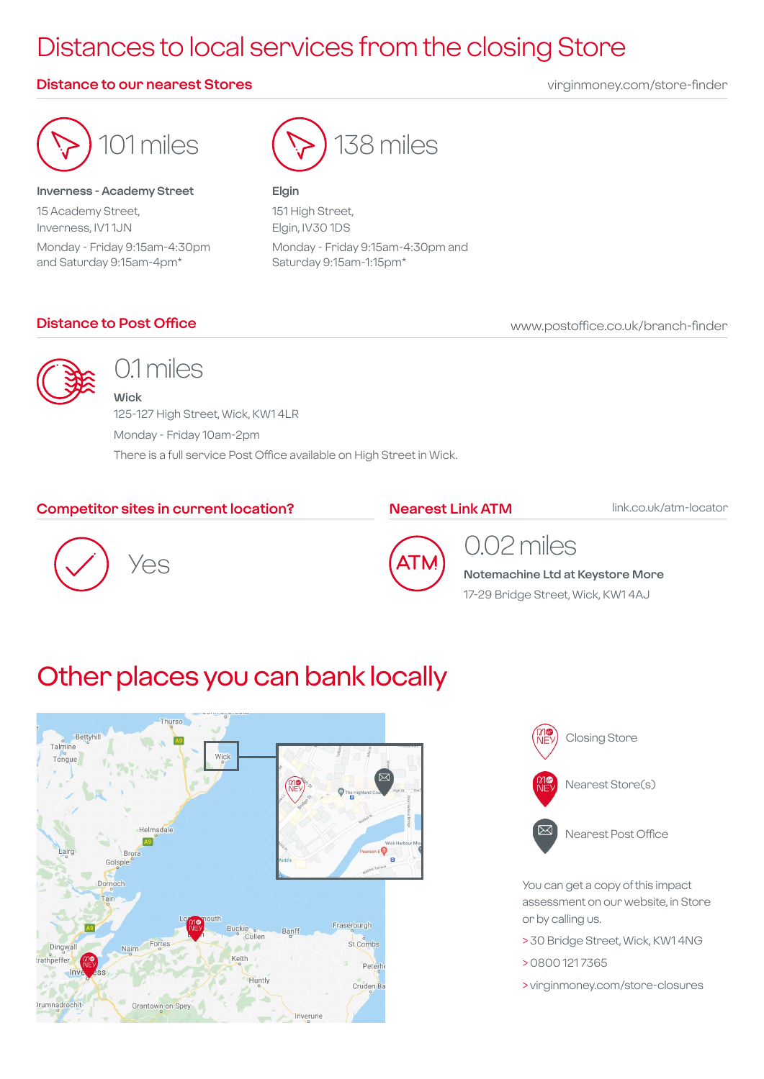## Distances to local services from the closing Store

### **Distance to our nearest Stores** virginmoney.com/store-finder



#### **Inverness - Academy Street**

15 Academy Street, Inverness, IV1 1JN Monday - Friday 9:15am-4:30pm and Saturday 9:15am-4pm\*



#### **Elgin**

151 High Street, Elgin, IV30 1DS Monday - Friday 9:15am-4:30pm and Saturday 9:15am-1:15pm\*

### **Distance to Post Office**

www.postoffice.co.uk/branch-finder



### 0.1 miles

**Wick** 125-127 High Street, Wick, KW1 4LR Monday - Friday 10am-2pm There is a full service Post Office available on High Street in Wick.

### **Competitor sites in current location?**

**Nearest Link ATM**

link.co.uk/atm-locator





### 0.02 miles

**Notemachine Ltd at Keystore More**

17-29 Bridge Street, Wick, KW1 4AJ

### Other places you can bank locally





You can get a copy of this impact assessment on our website, in Store or by calling us.

- > 30 Bridge Street, Wick, KW1 4NG
- > 0800 121 7365

> virginmoney.com/store-closures